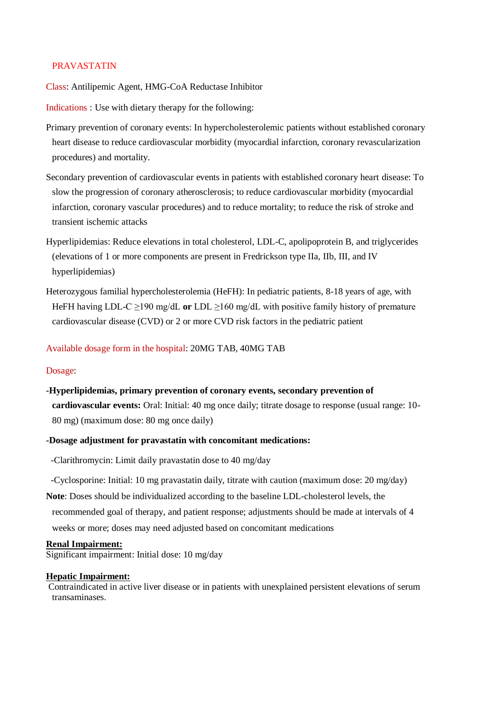# PRAVASTATIN

Class: Antilipemic Agent, HMG-CoA Reductase Inhibitor

Indications : Use with dietary therapy for the following:

- Primary prevention of coronary events: In hypercholesterolemic patients without established coronary heart disease to reduce cardiovascular morbidity (myocardial infarction, coronary revascularization procedures) and mortality.
- Secondary prevention of cardiovascular events in patients with established coronary heart disease: To slow the progression of coronary atherosclerosis; to reduce cardiovascular morbidity (myocardial infarction, coronary vascular procedures) and to reduce mortality; to reduce the risk of stroke and transient ischemic attacks
- Hyperlipidemias: Reduce elevations in total cholesterol, LDL-C, apolipoprotein B, and triglycerides (elevations of 1 or more components are present in Fredrickson type IIa, IIb, III, and IV hyperlipidemias)
- Heterozygous familial hypercholesterolemia (HeFH): In pediatric patients, 8-18 years of age, with HeFH having LDL-C ≥190 mg/dL **or** LDL ≥160 mg/dL with positive family history of premature cardiovascular disease (CVD) or 2 or more CVD risk factors in the pediatric patient

Available dosage form in the hospital: 20MG TAB, 40MG TAB

### Dosage:

**-Hyperlipidemias, primary prevention of coronary events, secondary prevention of cardiovascular events:** Oral: Initial: 40 mg once daily; titrate dosage to response (usual range: 10- 80 mg) (maximum dose: 80 mg once daily)

## **-Dosage adjustment for pravastatin with concomitant medications:**

-Clarithromycin: Limit daily pravastatin dose to 40 mg/day

- -Cyclosporine: Initial: 10 mg pravastatin daily, titrate with caution (maximum dose: 20 mg/day)
- **Note**: Doses should be individualized according to the baseline LDL-cholesterol levels, the recommended goal of therapy, and patient response; adjustments should be made at intervals of 4 weeks or more; doses may need adjusted based on concomitant medications

#### **Renal Impairment:**

Significant impairment: Initial dose: 10 mg/day

# **Hepatic Impairment:**

Contraindicated in active liver disease or in patients with unexplained persistent elevations of serum transaminases.